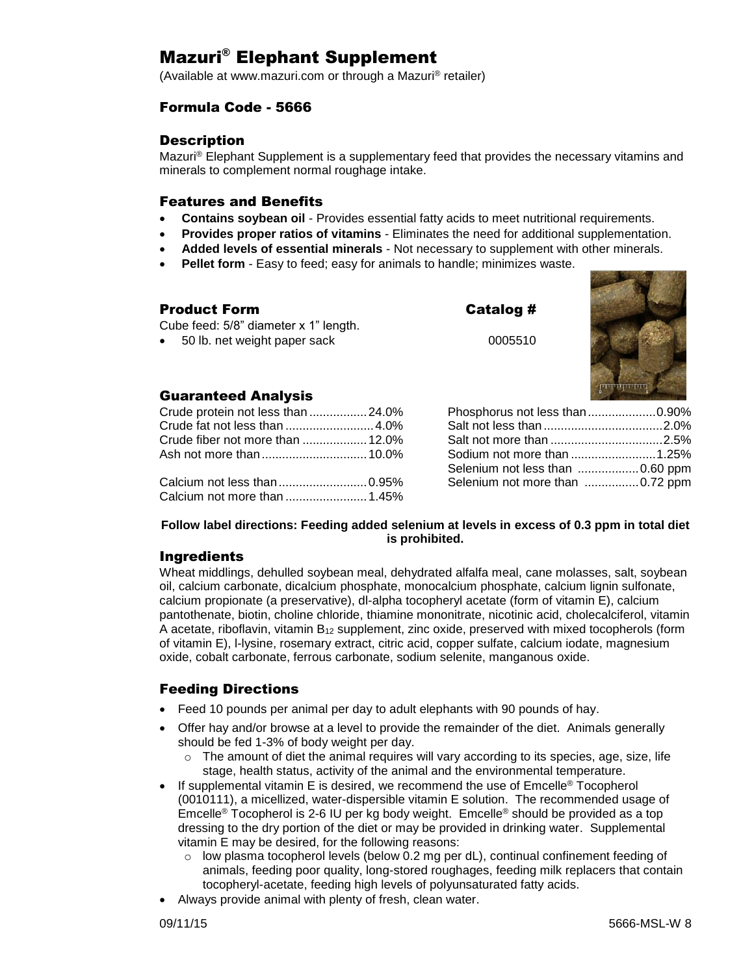# Mazuri® Elephant Supplement

(Available at www.mazuri.com or through a Mazuri® retailer)

## Formula Code - 5666

### **Description**

Mazuri® Elephant Supplement is a supplementary feed that provides the necessary vitamins and minerals to complement normal roughage intake.

### Features and Benefits

- **Contains soybean oil** Provides essential fatty acids to meet nutritional requirements.
- **Provides proper ratios of vitamins** Eliminates the need for additional supplementation.
- **Added levels of essential minerals** Not necessary to supplement with other minerals.
- **Pellet form** Easy to feed; easy for animals to handle; minimizes waste.

| Product Form                                                            | Catalog # |  |
|-------------------------------------------------------------------------|-----------|--|
| Cube feed: 5/8" diameter x 1" length.<br>• 50 lb. net weight paper sack | 0005510   |  |
|                                                                         |           |  |



### Guaranteed Analysis

| Crude protein not less than 24.0% |  |
|-----------------------------------|--|
|                                   |  |
|                                   |  |
|                                   |  |
|                                   |  |
|                                   |  |
|                                   |  |

| Phosphorus not less than0.90%   |  |
|---------------------------------|--|
|                                 |  |
|                                 |  |
| Sodium not more than 1.25%      |  |
| Selenium not less than 0.60 ppm |  |
| Selenium not more than 0.72 ppm |  |

#### **Follow label directions: Feeding added selenium at levels in excess of 0.3 ppm in total diet is prohibited.**

### Ingredients

Wheat middlings, dehulled soybean meal, dehydrated alfalfa meal, cane molasses, salt, soybean oil, calcium carbonate, dicalcium phosphate, monocalcium phosphate, calcium lignin sulfonate, calcium propionate (a preservative), dl-alpha tocopheryl acetate (form of vitamin E), calcium pantothenate, biotin, choline chloride, thiamine mononitrate, nicotinic acid, cholecalciferol, vitamin A acetate, riboflavin, vitamin B<sup>12</sup> supplement, zinc oxide, preserved with mixed tocopherols (form of vitamin E), l-lysine, rosemary extract, citric acid, copper sulfate, calcium iodate, magnesium oxide, cobalt carbonate, ferrous carbonate, sodium selenite, manganous oxide.

## Feeding Directions

- Feed 10 pounds per animal per day to adult elephants with 90 pounds of hay.
- Offer hay and/or browse at a level to provide the remainder of the diet. Animals generally should be fed 1-3% of body weight per day.
	- $\circ$  The amount of diet the animal requires will vary according to its species, age, size, life stage, health status, activity of the animal and the environmental temperature.
- If supplemental vitamin E is desired, we recommend the use of Emcelle® Tocopherol (0010111), a micellized, water-dispersible vitamin E solution. The recommended usage of Emcelle® Tocopherol is 2-6 IU per kg body weight. Emcelle® should be provided as a top dressing to the dry portion of the diet or may be provided in drinking water. Supplemental vitamin E may be desired, for the following reasons:
	- $\circ$  low plasma tocopherol levels (below 0.2 mg per dL), continual confinement feeding of animals, feeding poor quality, long-stored roughages, feeding milk replacers that contain tocopheryl-acetate, feeding high levels of polyunsaturated fatty acids.
- Always provide animal with plenty of fresh, clean water.